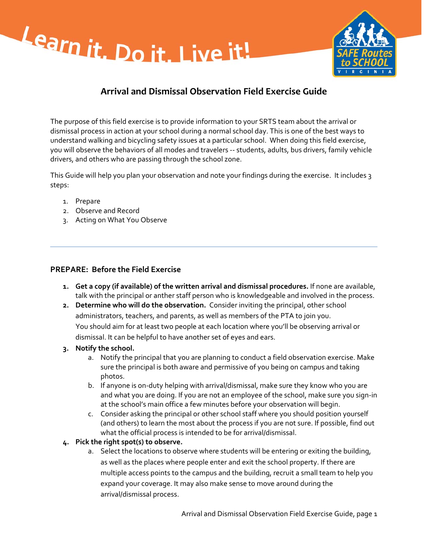



# **Arrival and Dismissal Observation Field Exercise Guide**

The purpose of this field exercise is to provide information to your SRTS team about the arrival or dismissal process in action at your school during a normal school day. This is one of the best ways to understand walking and bicycling safety issues at a particular school. When doing this field exercise, you will observe the behaviors of all modes and travelers ‐‐ students, adults, bus drivers, family vehicle drivers, and others who are passing through the school zone.

This Guide will help you plan your observation and note your findings during the exercise. It includes 3 steps:

- 1. Prepare
- 2. Observe and Record
- 3. Acting on What You Observe

#### **PREPARE: Before the Field Exercise**

- **1. Get a copy (if available) of the written arrival and dismissal procedures.** If none are available, talk with the principal or anther staff person who is knowledgeable and involved in the process.
- **2. Determine who will do the observation.** Consider inviting the principal, other school administrators, teachers, and parents, as well as members of the PTA to join you. You should aim for at least two people at each location where you'll be observing arrival or dismissal. It can be helpful to have another set of eyes and ears.
- **3. Notify the school.** 
	- a. Notify the principal that you are planning to conduct a field observation exercise. Make sure the principal is both aware and permissive of you being on campus and taking photos.
	- b. If anyone is on‐duty helping with arrival/dismissal, make sure they know who you are and what you are doing. If you are not an employee of the school, make sure you sign‐in at the school's main office a few minutes before your observation will begin.
	- c. Consider asking the principal or other school staff where you should position yourself (and others) to learn the most about the process if you are not sure. If possible, find out what the official process is intended to be for arrival/dismissal.

#### **4. Pick the right spot(s) to observe.**

a. Select the locations to observe where students will be entering or exiting the building, as well as the places where people enter and exit the school property. If there are multiple access points to the campus and the building, recruit a small team to help you expand your coverage. It may also make sense to move around during the arrival/dismissal process.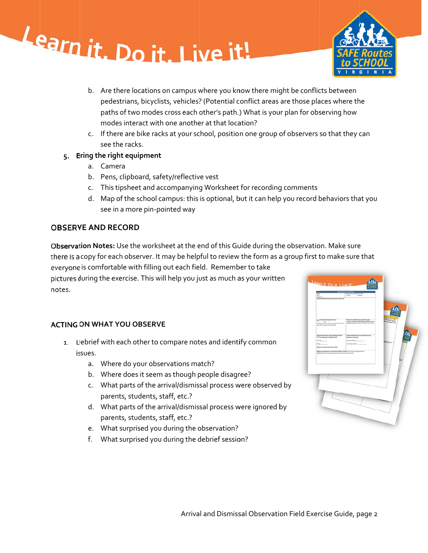



- b. Are there locations on campus where you know there might be conflicts between pedestrians, bicyclists, vehicles? (Potential conflict areas are those places where the paths of two modes cross each other's path.) What is your plan for observing how modes s interact wit h one anothe er at that loca ation?
- c. If there are bike racks at your school, position one group of observers so that they can see th e racks.

#### **ring the righ ht equipment t**

- a. Camer ra
- b. Pens, clipboard, safety/reflective vest
- c. This ti psheet and a ccompanying g Worksheet for recording g comments
- d. Map of the school campus: this is optional, but it can help you record behaviors that you see in a more pin‐p pointed way

## **VE AND REC CORD**

tion Notes: Use the worksheet at the end of this Guide during the observation. Make sure **ion Notes:** Use the worksheet at the end of this Guide during the observation. Make sure<br>copy for each observer. It may be helpful to review the form as a group first to make sure that is comfortable with filling out each field. Remember to take during the exercise. This will help you just as much as your written notes.

### **ON WHAT YOU OBSERVE**

- Debrief with each other to compare notes and identify common issues.
	- a. Where do your observations match?
	- b. Where does it seem as though people disagree?
	- c. What parts of the arrival/dismissal process were observed by parents, students, staff, etc.?
	- d. What parts of the arrival/dismissal process were ignored by parents, students, staff, etc.?
	- e. What surprised you during the observation?
	- f. What surprised you during the debrief session?

| π<br>Langlan:<br>Briefy dear the the process that you chas real                                                                                               | What precess that you always<br><b>Castled</b><br><b>Contract</b>                                                                             |                                                                                        |
|---------------------------------------------------------------------------------------------------------------------------------------------------------------|-----------------------------------------------------------------------------------------------------------------------------------------------|----------------------------------------------------------------------------------------|
| Any <sup>l</sup> theletts winned at once?<br><b>CRA</b><br>Color.<br>If no describe how students are dominant. What is<br>the oder and what is the retionale? | Where do students enter not the whose<br>campus and the schoolfschling and here is awit-<br>entrance used? (by grate by mode of mount) atto 3 | <b>With products</b><br><b>Mileta Save creative</b><br><b>Bill Std Artmore Lesling</b> |
| RW pointed how many students did you<br>three of a side a dust control as well as<br>thing <sub></sub><br>Where do students park their bikes?                 | Approximately have many vehicles slid you.<br>shares on cargoo!<br>Family vehicles<br>à.<br>How many busin?                                   | throrise of                                                                            |
| When do parents pick up and drop off their children" is this activity separated from<br>autorghizating! One the guess of central up into the street?          |                                                                                                                                               |                                                                                        |
|                                                                                                                                                               |                                                                                                                                               |                                                                                        |
|                                                                                                                                                               |                                                                                                                                               |                                                                                        |
|                                                                                                                                                               |                                                                                                                                               |                                                                                        |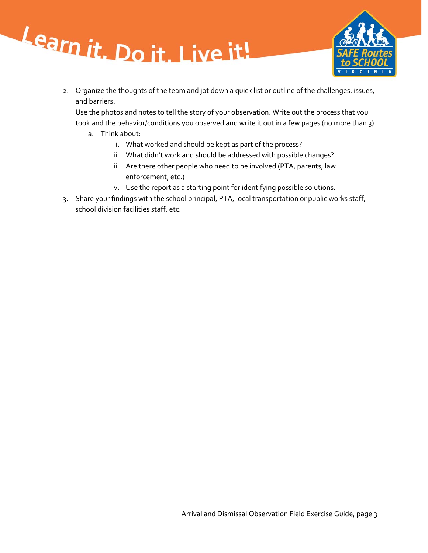



2. Organize the thoughts of the team and jot down a quick list or outline of the challenges, issues, and barriers.

Use the photos and notes to tell the story of your observation. Write out the process that you took and the behavior/conditions you observed and write it out in a few pages (no more than 3).

- a. Think about:
	- i. What worked and should be kept as part of the process?
	- ii. What didn't work and should be addressed with possible changes?
	- iii. Are there other people who need to be involved (PTA, parents, law enforcement, etc.)
	- iv. Use the report as a starting point for identifying possible solutions.
- 3. Share your findings with the school principal, PTA, local transportation or public works staff, school division facilities staff, etc.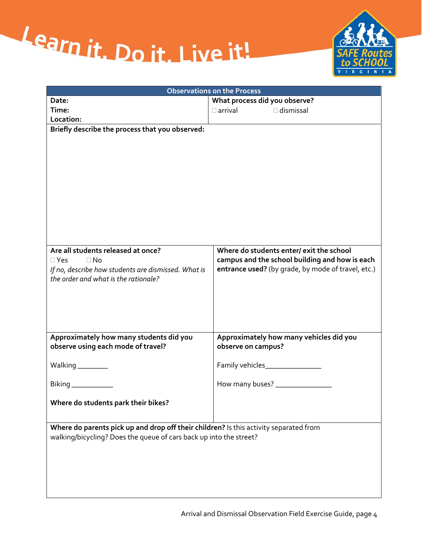



| <b>Observations on the Process</b>                                                    |                                                    |  |  |  |
|---------------------------------------------------------------------------------------|----------------------------------------------------|--|--|--|
| Date:                                                                                 | What process did you observe?                      |  |  |  |
| Time:                                                                                 | $\Box$ dismissal<br>$\square$ arrival              |  |  |  |
| Location:                                                                             |                                                    |  |  |  |
| Briefly describe the process that you observed:                                       |                                                    |  |  |  |
|                                                                                       |                                                    |  |  |  |
|                                                                                       |                                                    |  |  |  |
|                                                                                       |                                                    |  |  |  |
|                                                                                       |                                                    |  |  |  |
|                                                                                       |                                                    |  |  |  |
|                                                                                       |                                                    |  |  |  |
|                                                                                       |                                                    |  |  |  |
|                                                                                       |                                                    |  |  |  |
|                                                                                       |                                                    |  |  |  |
|                                                                                       |                                                    |  |  |  |
|                                                                                       |                                                    |  |  |  |
| Are all students released at once?                                                    | Where do students enter/ exit the school           |  |  |  |
| $\Box$ No<br>$\Box$ Yes                                                               | campus and the school building and how is each     |  |  |  |
| If no, describe how students are dismissed. What is                                   | entrance used? (by grade, by mode of travel, etc.) |  |  |  |
| the order and what is the rationale?                                                  |                                                    |  |  |  |
|                                                                                       |                                                    |  |  |  |
|                                                                                       |                                                    |  |  |  |
|                                                                                       |                                                    |  |  |  |
|                                                                                       |                                                    |  |  |  |
|                                                                                       |                                                    |  |  |  |
| Approximately how many students did you                                               | Approximately how many vehicles did you            |  |  |  |
| observe using each mode of travel?                                                    | observe on campus?                                 |  |  |  |
|                                                                                       |                                                    |  |  |  |
| Walking $\frac{1}{2}$                                                                 |                                                    |  |  |  |
|                                                                                       |                                                    |  |  |  |
| Biking ___________                                                                    | How many buses? _________________                  |  |  |  |
|                                                                                       |                                                    |  |  |  |
| Where do students park their bikes?                                                   |                                                    |  |  |  |
|                                                                                       |                                                    |  |  |  |
|                                                                                       |                                                    |  |  |  |
| Where do parents pick up and drop off their children? Is this activity separated from |                                                    |  |  |  |
| walking/bicycling? Does the queue of cars back up into the street?                    |                                                    |  |  |  |
|                                                                                       |                                                    |  |  |  |
|                                                                                       |                                                    |  |  |  |
|                                                                                       |                                                    |  |  |  |
|                                                                                       |                                                    |  |  |  |
|                                                                                       |                                                    |  |  |  |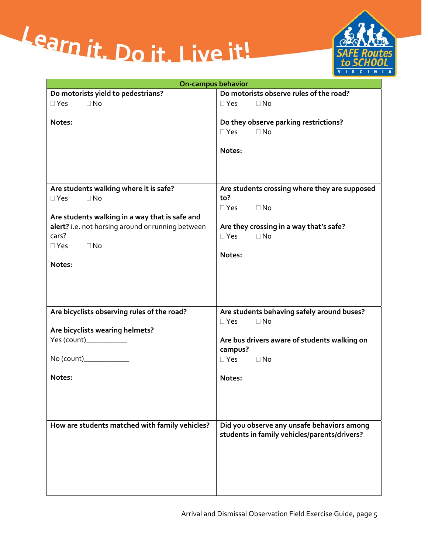



| <b>On-campus behavior</b>                                                                                                                         |                                                                                            |  |  |
|---------------------------------------------------------------------------------------------------------------------------------------------------|--------------------------------------------------------------------------------------------|--|--|
| Do motorists yield to pedestrians?                                                                                                                | Do motorists observe rules of the road?                                                    |  |  |
| $\Box$ No<br>$\Box$ Yes                                                                                                                           | $\Box$ Yes<br>$\Box$ No                                                                    |  |  |
| Notes:                                                                                                                                            | Do they observe parking restrictions?<br>$\Box$ Yes<br>$\Box$ No<br>Notes:                 |  |  |
| Are students walking where it is safe?                                                                                                            | Are students crossing where they are supposed                                              |  |  |
| $\Box$ Yes<br>$\Box$ No                                                                                                                           | to?                                                                                        |  |  |
|                                                                                                                                                   | $\Box$ Yes $\Box$ No                                                                       |  |  |
| Are students walking in a way that is safe and<br>alert? i.e. not horsing around or running between<br>cars?<br>$\Box$ No<br>$\Box$ Yes<br>Notes: | Are they crossing in a way that's safe?<br>$\square$ Yes<br>$\Box$ No<br>Notes:            |  |  |
|                                                                                                                                                   |                                                                                            |  |  |
| Are bicyclists observing rules of the road?                                                                                                       | Are students behaving safely around buses?<br>$\Box$ Yes<br>$\Box$ No                      |  |  |
| Are bicyclists wearing helmets?                                                                                                                   |                                                                                            |  |  |
| Yes (count)____________                                                                                                                           | Are bus drivers aware of students walking on                                               |  |  |
|                                                                                                                                                   | campus?                                                                                    |  |  |
| No (count)____________                                                                                                                            | $\square$ Yes<br>$\Box$ No                                                                 |  |  |
| Notes:                                                                                                                                            | Notes:                                                                                     |  |  |
| How are students matched with family vehicles?                                                                                                    | Did you observe any unsafe behaviors among<br>students in family vehicles/parents/drivers? |  |  |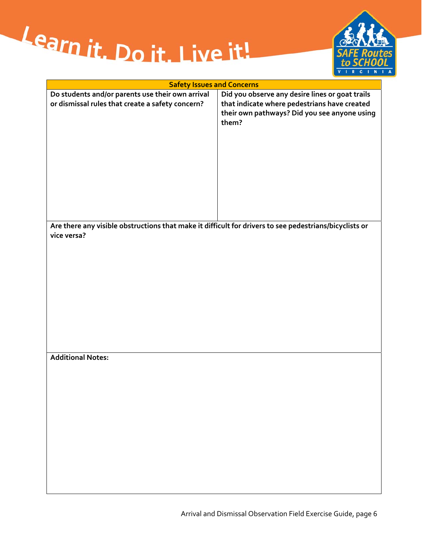



| <b>Safety Issues and Concerns</b>                                                                                     |                                                       |  |  |
|-----------------------------------------------------------------------------------------------------------------------|-------------------------------------------------------|--|--|
| Do students and/or parents use their own arrival                                                                      | Did you observe any desire lines or goat trails       |  |  |
| or dismissal rules that create a safety concern?                                                                      | that indicate where pedestrians have created          |  |  |
|                                                                                                                       | their own pathways? Did you see anyone using<br>them? |  |  |
|                                                                                                                       |                                                       |  |  |
|                                                                                                                       |                                                       |  |  |
|                                                                                                                       |                                                       |  |  |
|                                                                                                                       |                                                       |  |  |
|                                                                                                                       |                                                       |  |  |
|                                                                                                                       |                                                       |  |  |
|                                                                                                                       |                                                       |  |  |
|                                                                                                                       |                                                       |  |  |
| Are there any visible obstructions that make it difficult for drivers to see pedestrians/bicyclists or<br>vice versa? |                                                       |  |  |
|                                                                                                                       |                                                       |  |  |
|                                                                                                                       |                                                       |  |  |
|                                                                                                                       |                                                       |  |  |
|                                                                                                                       |                                                       |  |  |
|                                                                                                                       |                                                       |  |  |

#### **Additional Notes:**

Arrival and Dismissal Observation Field Exercise Guide, page 6